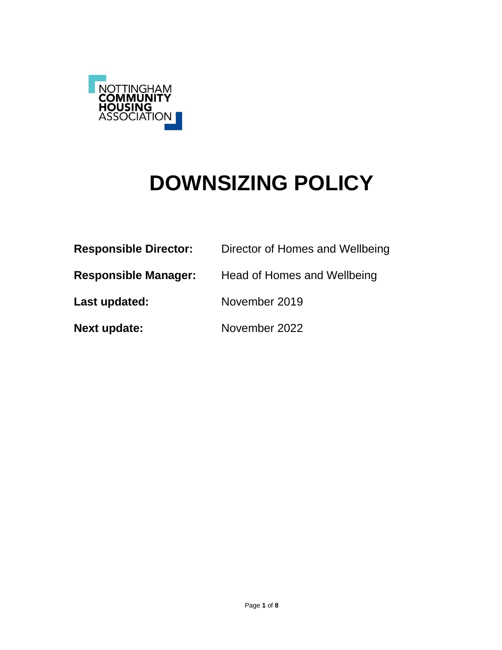

# **DOWNSIZING POLICY**

| <b>Responsible Director:</b> | Director of Homes and Wellbeing |  |  |
|------------------------------|---------------------------------|--|--|
| <b>Responsible Manager:</b>  | Head of Homes and Wellbeing     |  |  |
| Last updated:                | November 2019                   |  |  |
| <b>Next update:</b>          | November 2022                   |  |  |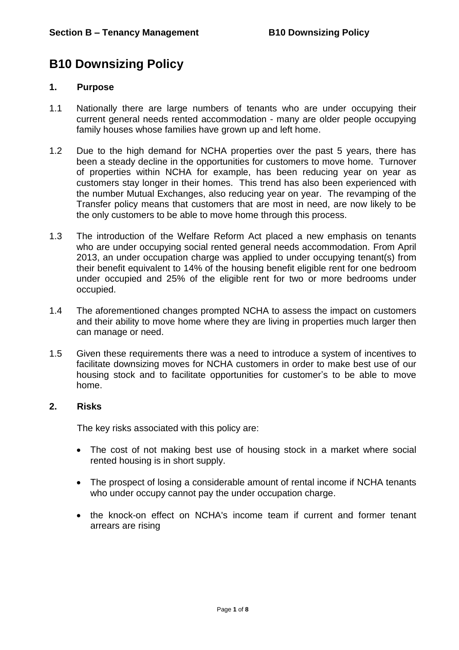## **B10 Downsizing Policy**

## **1. Purpose**

- 1.1 Nationally there are large numbers of tenants who are under occupying their current general needs rented accommodation - many are older people occupying family houses whose families have grown up and left home.
- 1.2 Due to the high demand for NCHA properties over the past 5 years, there has been a steady decline in the opportunities for customers to move home. Turnover of properties within NCHA for example, has been reducing year on year as customers stay longer in their homes. This trend has also been experienced with the number Mutual Exchanges, also reducing year on year. The revamping of the Transfer policy means that customers that are most in need, are now likely to be the only customers to be able to move home through this process.
- 1.3 The introduction of the Welfare Reform Act placed a new emphasis on tenants who are under occupying social rented general needs accommodation. From April 2013, an under occupation charge was applied to under occupying tenant(s) from their benefit equivalent to 14% of the housing benefit eligible rent for one bedroom under occupied and 25% of the eligible rent for two or more bedrooms under occupied.
- 1.4 The aforementioned changes prompted NCHA to assess the impact on customers and their ability to move home where they are living in properties much larger then can manage or need.
- 1.5 Given these requirements there was a need to introduce a system of incentives to facilitate downsizing moves for NCHA customers in order to make best use of our housing stock and to facilitate opportunities for customer's to be able to move home.

## **2. Risks**

The key risks associated with this policy are:

- The cost of not making best use of housing stock in a market where social rented housing is in short supply.
- The prospect of losing a considerable amount of rental income if NCHA tenants who under occupy cannot pay the under occupation charge.
- the knock-on effect on NCHA's income team if current and former tenant arrears are rising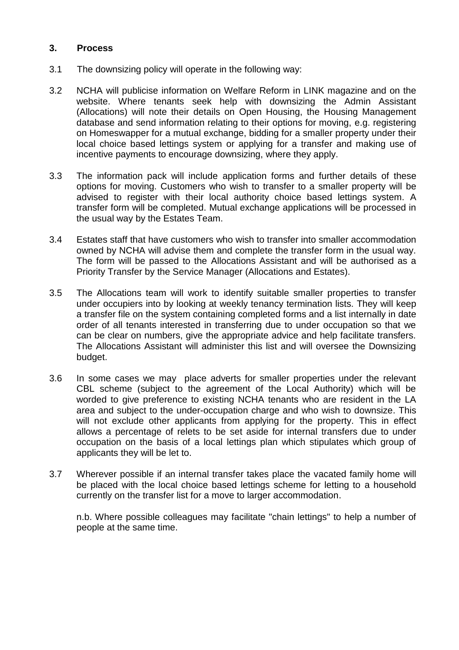## **3. Process**

- 3.1 The downsizing policy will operate in the following way:
- 3.2 NCHA will publicise information on Welfare Reform in LINK magazine and on the website. Where tenants seek help with downsizing the Admin Assistant (Allocations) will note their details on Open Housing, the Housing Management database and send information relating to their options for moving, e.g. registering on Homeswapper for a mutual exchange, bidding for a smaller property under their local choice based lettings system or applying for a transfer and making use of incentive payments to encourage downsizing, where they apply.
- 3.3 The information pack will include application forms and further details of these options for moving. Customers who wish to transfer to a smaller property will be advised to register with their local authority choice based lettings system. A transfer form will be completed. Mutual exchange applications will be processed in the usual way by the Estates Team.
- 3.4 Estates staff that have customers who wish to transfer into smaller accommodation owned by NCHA will advise them and complete the transfer form in the usual way. The form will be passed to the Allocations Assistant and will be authorised as a Priority Transfer by the Service Manager (Allocations and Estates).
- 3.5 The Allocations team will work to identify suitable smaller properties to transfer under occupiers into by looking at weekly tenancy termination lists. They will keep a transfer file on the system containing completed forms and a list internally in date order of all tenants interested in transferring due to under occupation so that we can be clear on numbers, give the appropriate advice and help facilitate transfers. The Allocations Assistant will administer this list and will oversee the Downsizing budget.
- 3.6 In some cases we may place adverts for smaller properties under the relevant CBL scheme (subject to the agreement of the Local Authority) which will be worded to give preference to existing NCHA tenants who are resident in the LA area and subject to the under-occupation charge and who wish to downsize. This will not exclude other applicants from applying for the property. This in effect allows a percentage of relets to be set aside for internal transfers due to under occupation on the basis of a local lettings plan which stipulates which group of applicants they will be let to.
- 3.7 Wherever possible if an internal transfer takes place the vacated family home will be placed with the local choice based lettings scheme for letting to a household currently on the transfer list for a move to larger accommodation.

n.b. Where possible colleagues may facilitate "chain lettings" to help a number of people at the same time.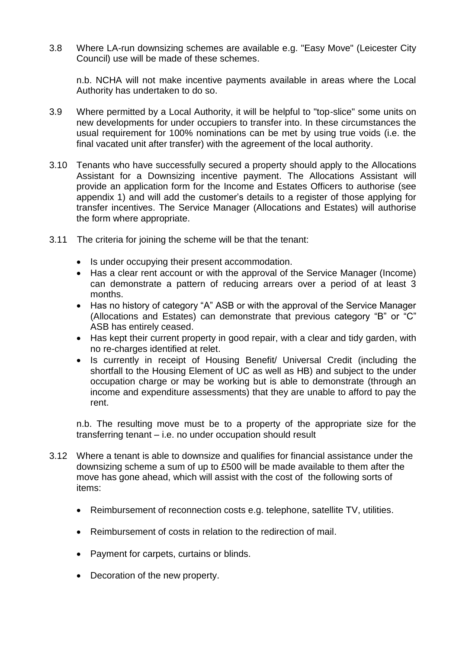3.8 Where LA-run downsizing schemes are available e.g. "Easy Move" (Leicester City Council) use will be made of these schemes.

n.b. NCHA will not make incentive payments available in areas where the Local Authority has undertaken to do so.

- 3.9 Where permitted by a Local Authority, it will be helpful to "top-slice" some units on new developments for under occupiers to transfer into. In these circumstances the usual requirement for 100% nominations can be met by using true voids (i.e. the final vacated unit after transfer) with the agreement of the local authority.
- 3.10 Tenants who have successfully secured a property should apply to the Allocations Assistant for a Downsizing incentive payment. The Allocations Assistant will provide an application form for the Income and Estates Officers to authorise (see appendix 1) and will add the customer's details to a register of those applying for transfer incentives. The Service Manager (Allocations and Estates) will authorise the form where appropriate.
- 3.11 The criteria for joining the scheme will be that the tenant:
	- Is under occupying their present accommodation.
	- Has a clear rent account or with the approval of the Service Manager (Income) can demonstrate a pattern of reducing arrears over a period of at least 3 months.
	- Has no history of category "A" ASB or with the approval of the Service Manager (Allocations and Estates) can demonstrate that previous category "B" or "C" ASB has entirely ceased.
	- Has kept their current property in good repair, with a clear and tidy garden, with no re-charges identified at relet.
	- Is currently in receipt of Housing Benefit/ Universal Credit (including the shortfall to the Housing Element of UC as well as HB) and subject to the under occupation charge or may be working but is able to demonstrate (through an income and expenditure assessments) that they are unable to afford to pay the rent.

n.b. The resulting move must be to a property of the appropriate size for the transferring tenant – i.e. no under occupation should result

- 3.12 Where a tenant is able to downsize and qualifies for financial assistance under the downsizing scheme a sum of up to £500 will be made available to them after the move has gone ahead, which will assist with the cost of the following sorts of items:
	- Reimbursement of reconnection costs e.g. telephone, satellite TV, utilities.
	- Reimbursement of costs in relation to the redirection of mail.
	- Payment for carpets, curtains or blinds.
	- Decoration of the new property.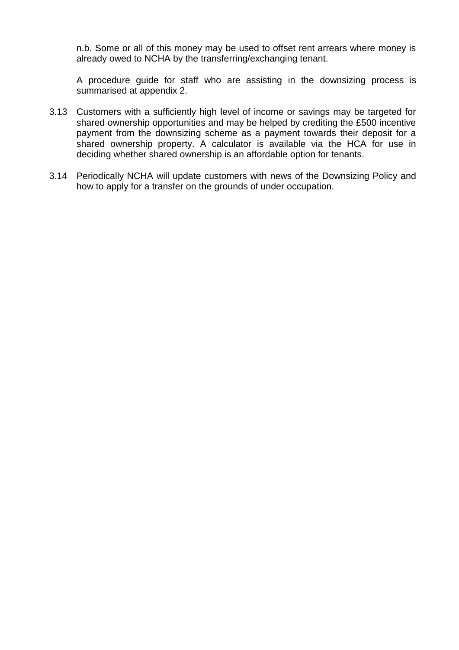n.b. Some or all of this money may be used to offset rent arrears where money is already owed to NCHA by the transferring/exchanging tenant.

A procedure guide for staff who are assisting in the downsizing process is summarised at appendix 2.

- 3.13 Customers with a sufficiently high level of income or savings may be targeted for shared ownership opportunities and may be helped by crediting the £500 incentive payment from the downsizing scheme as a payment towards their deposit for a shared ownership property. A calculator is available via the HCA for use in deciding whether shared ownership is an affordable option for tenants.
- 3.14 Periodically NCHA will update customers with news of the Downsizing Policy and how to apply for a transfer on the grounds of under occupation.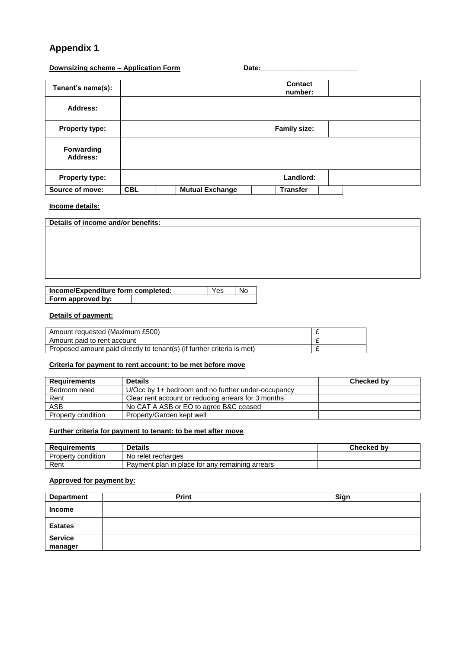## **Appendix 1**

#### **Downsizing scheme – Application Form Theorem** Date:

| Tenant's name(s):      |            |                        | Contact<br>number:  |  |
|------------------------|------------|------------------------|---------------------|--|
| Address:               |            |                        |                     |  |
| <b>Property type:</b>  |            |                        | <b>Family size:</b> |  |
| Forwarding<br>Address: |            |                        |                     |  |
| <b>Property type:</b>  |            |                        | Landlord:           |  |
| Source of move:        | <b>CBL</b> | <b>Mutual Exchange</b> | <b>Transfer</b>     |  |

#### **Income details:**

| Details of income and/or benefits: |                    |                |  |  |
|------------------------------------|--------------------|----------------|--|--|
|                                    |                    |                |  |  |
|                                    |                    |                |  |  |
|                                    |                    |                |  |  |
|                                    |                    |                |  |  |
|                                    |                    |                |  |  |
|                                    |                    |                |  |  |
| Incomo/Expanditure form completed: | $V_{\alpha\alpha}$ | $\overline{h}$ |  |  |

| income/Expenditure form completed: | <b>Yes</b> | N0 |
|------------------------------------|------------|----|
| Form approved by:                  |            |    |
|                                    |            |    |

#### **Details of payment:**

| Amount requested (Maximum £500)                                         |   |
|-------------------------------------------------------------------------|---|
| Amount paid to rent account                                             |   |
| Proposed amount paid directly to tenant(s) (if further criteria is met) | - |

#### **Criteria for payment to rent account: to be met before move**

| <b>Requirements</b> | <b>Details</b>                                      | Checked by |
|---------------------|-----------------------------------------------------|------------|
| Bedroom need        | U/Occ by 1+ bedroom and no further under-occupancy  |            |
| Rent                | Clear rent account or reducing arrears for 3 months |            |
| <b>ASB</b>          | No CAT A ASB or EO to agree B&C ceased              |            |
| Property condition  | Property/Garden kept well                           |            |

#### **Further criteria for payment to tenant: to be met after move**

| <b>Requirements</b> | <b>Details</b>                                  | <b>Checked by</b> |
|---------------------|-------------------------------------------------|-------------------|
| Property condition  | No.<br>relet recharges                          |                   |
| Rent                | Payment plan in place for any remaining arrears |                   |

#### **Approved for payment by:**

| <b>Department</b>         | <b>Print</b> | Sign |
|---------------------------|--------------|------|
| <b>Income</b>             |              |      |
| <b>Estates</b>            |              |      |
| <b>Service</b><br>manager |              |      |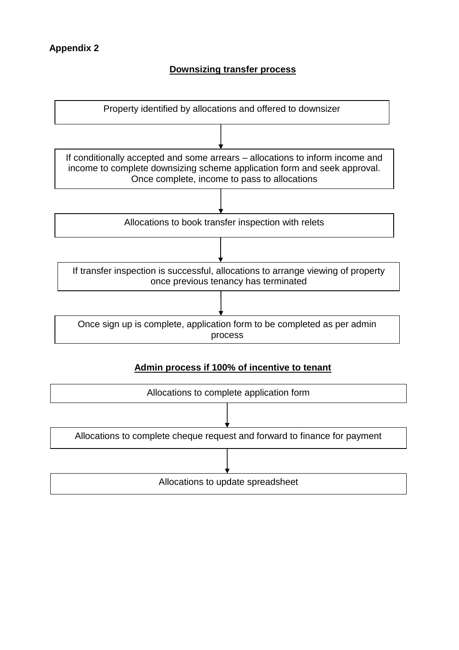## **Downsizing transfer process**



## **Admin process if 100% of incentive to tenant**